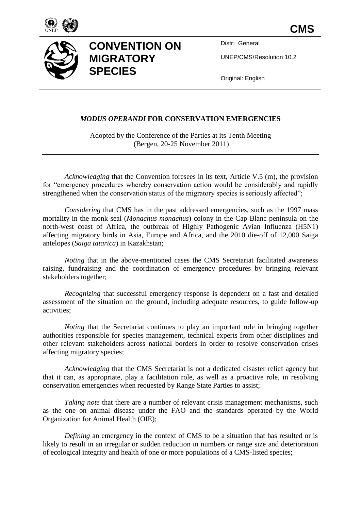



## **CONVENTION ON MIGRATORY SPECIES**

Distr: General

UNEP/CMS/Resolution 10.2

Original: English

## *MODUS OPERANDI* **FOR CONSERVATION EMERGENCIES**

Adopted by the Conference of the Parties at its Tenth Meeting (Bergen, 20-25 November 2011)

*Acknowledging* that the Convention foresees in its text, Article V.5 (m), the provision for "emergency procedures whereby conservation action would be considerably and rapidly strengthened when the conservation status of the migratory species is seriously affected";

*Considering* that CMS has in the past addressed emergencies, such as the 1997 mass mortality in the monk seal (*Monachus monachus*) colony in the Cap Blanc peninsula on the north-west coast of Africa, the outbreak of Highly Pathogenic Avian Influenza (H5N1) affecting migratory birds in Asia, Europe and Africa, and the 2010 die-off of 12,000 Saiga antelopes (*Saiga tatarica*) in Kazakhstan;

*Noting* that in the above-mentioned cases the CMS Secretariat facilitated awareness raising, fundraising and the coordination of emergency procedures by bringing relevant stakeholders together;

*Recognizing* that successful emergency response is dependent on a fast and detailed assessment of the situation on the ground, including adequate resources, to guide follow-up activities;

*Noting* that the Secretariat continues to play an important role in bringing together authorities responsible for species management, technical experts from other disciplines and other relevant stakeholders across national borders in order to resolve conservation crises affecting migratory species;

*Acknowledging* that the CMS Secretariat is not a dedicated disaster relief agency but that it can, as appropriate, play a facilitation role, as well as a proactive role, in resolving conservation emergencies when requested by Range State Parties to assist;

*Taking note* that there are a number of relevant crisis management mechanisms, such as the one on animal disease under the FAO and the standards operated by the World Organization for Animal Health (OIE);

*Defining* an emergency in the context of CMS to be a situation that has resulted or is likely to result in an irregular or sudden reduction in numbers or range size and deterioration of ecological integrity and health of one or more populations of a CMS-listed species;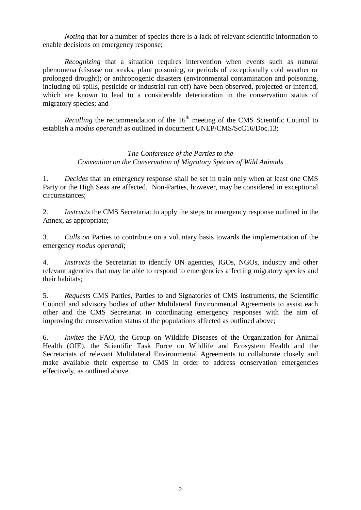*Noting* that for a number of species there is a lack of relevant scientific information to enable decisions on emergency response;

*Recognizing* that a situation requires intervention when events such as natural phenomena (disease outbreaks, plant poisoning, or periods of exceptionally cold weather or prolonged drought); or anthropogenic disasters (environmental contamination and poisoning, including oil spills, pesticide or industrial run-off) have been observed, projected or inferred, which are known to lead to a considerable deterioration in the conservation status of migratory species; and

*Recalling* the recommendation of the  $16<sup>th</sup>$  meeting of the CMS Scientific Council to establish a *modus operandi* as outlined in document UNEP/CMS/ScC16/Doc.13;

## *The Conference of the Parties to the Convention on the Conservation of Migratory Species of Wild Animals*

1. *Decides* that an emergency response shall be set in train only when at least one CMS Party or the High Seas are affected. Non-Parties, however, may be considered in exceptional circumstances;

2. *Instructs* the CMS Secretariat to apply the steps to emergency response outlined in the Annex, as appropriate;

3. *Calls on* Parties to contribute on a voluntary basis towards the implementation of the emergency *modus operandi*;

4. *Instructs* the Secretariat to identify UN agencies, IGOs, NGOs, industry and other relevant agencies that may be able to respond to emergencies affecting migratory species and their habitats;

5. *Requests* CMS Parties, Parties to and Signatories of CMS instruments, the Scientific Council and advisory bodies of other Multilateral Environmental Agreements to assist each other and the CMS Secretariat in coordinating emergency responses with the aim of improving the conservation status of the populations affected as outlined above;

6. *Invites* the FAO, the Group on Wildlife Diseases of the Organization for Animal Health (OIE), the Scientific Task Force on Wildlife and Ecosystem Health and the Secretariats of relevant Multilateral Environmental Agreements to collaborate closely and make available their expertise to CMS in order to address conservation emergencies effectively, as outlined above.